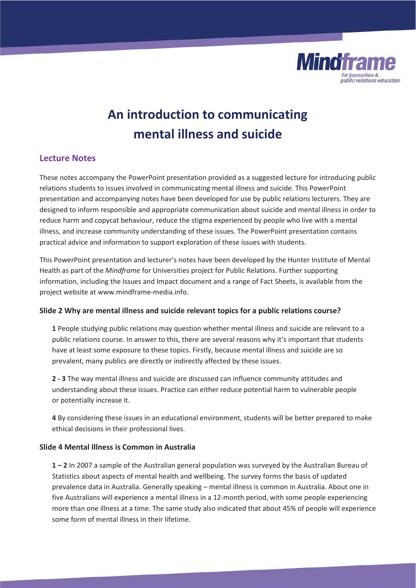

# **An introduction to communicating mental illness and suicide**

# **Lecture Notes**

These notes accompany the PowerPoint presentation provided as a suggested lecture for introducing public relations students to issues involved in communicating mental illness and suicide. This PowerPoint presentation and accompanying notes have been developed for use by public relations lecturers. They are designed to inform responsible and appropriate communication about suicide and mental illness in order to reduce harm and copycat behaviour, reduce the stigma experienced by people who live with a mental illness, and increase community understanding of these issues. The PowerPoint presentation contains practical advice and information to support exploration of these issues with students.

This PowerPoint presentation and lecturer's notes have been developed by the Hunter Institute of Mental Health as part of the *Mindframe* for Universities project for Public Relations. Further supporting information, including the Issues and Impact document and a range of Fact Sheets, is available from the project website at www.mindframe-media.info.

# **Slide 2 Why are mental illness and suicide relevant topics for a public relations course?**

**1** People studying public relations may question whether mental illness and suicide are relevant to a public relations course. In answer to this, there are several reasons why it's important that students have at least some exposure to these topics. Firstly, because mental illness and suicide are so prevalent, many publics are directly or indirectly affected by these issues.

**2 - 3** The way mental illness and suicide are discussed can influence community attitudes and understanding about these issues. Practice can either reduce potential harm to vulnerable people or potentially increase it.

**4** By considering these issues in an educational environment, students will be better prepared to make ethical decisions in their professional lives.

# **Slide 4 Mental Illness is Common in Australia**

**1 – 2** In 2007 a sample of the Australian general population was surveyed by the Australian Bureau of Statistics about aspects of mental health and wellbeing. The survey forms the basis of updated prevalence data in Australia. Generally speaking – mental illness is common in Australia. About one in five Australians will experience a mental illness in a 12-month period, with some people experiencing more than one illness at a time. The same study also indicated that about 45% of people will experience some form of mental illness in their lifetime.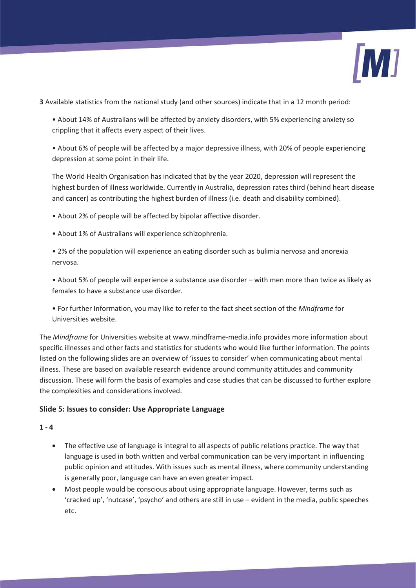

**3** Available statistics from the national study (and other sources) indicate that in a 12 month period:

• About 14% of Australians will be affected by anxiety disorders, with 5% experiencing anxiety so crippling that it affects every aspect of their lives.

• About 6% of people will be affected by a major depressive illness, with 20% of people experiencing depression at some point in their life.

The World Health Organisation has indicated that by the year 2020, depression will represent the highest burden of illness worldwide. Currently in Australia, depression rates third (behind heart disease and cancer) as contributing the highest burden of illness (i.e. death and disability combined).

• About 2% of people will be affected by bipolar affective disorder.

• About 1% of Australians will experience schizophrenia.

• 2% of the population will experience an eating disorder such as bulimia nervosa and anorexia nervosa.

• About 5% of people will experience a substance use disorder – with men more than twice as likely as females to have a substance use disorder.

ͻ For further Information, you may like to refer to the fact sheet section of the *Mindframe* for Universities website.

The *Mindframe* for Universities website at www.mindframe-media.info provides more information about specific illnesses and other facts and statistics for students who would like further information. The points listed on the following slides are an overview of 'issues to consider' when communicating about mental illness. These are based on available research evidence around community attitudes and community discussion. These will form the basis of examples and case studies that can be discussed to further explore the complexities and considerations involved.

# **Slide 5: Issues to consider: Use Appropriate Language**

# **1 - 4**

- The effective use of language is integral to all aspects of public relations practice. The way that language is used in both written and verbal communication can be very important in influencing public opinion and attitudes. With issues such as mental illness, where community understanding is generally poor, language can have an even greater impact.
- Most people would be conscious about using appropriate language. However, terms such as 'cracked up', 'nutcase', 'psycho' and others are still in use – evident in the media, public speeches etc.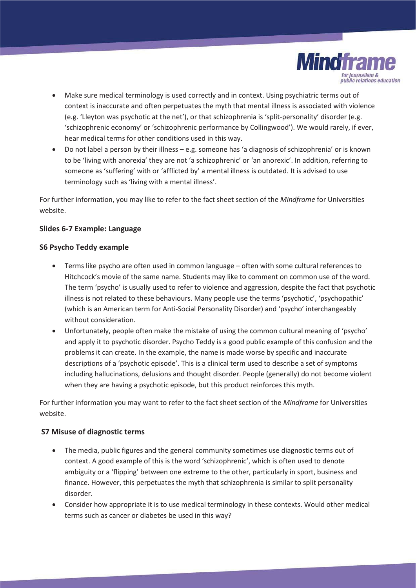

- Make sure medical terminology is used correctly and in context. Using psychiatric terms out of context is inaccurate and often perpetuates the myth that mental illness is associated with violence (e.g. 'Lleyton was psychotic at the net'), or that schizophrenia is 'split-personality' disorder (e.g. 'schizophrenic economy' or 'schizophrenic performance by Collingwood'). We would rarely, if ever, hear medical terms for other conditions used in this way.
- Do not label a person by their illness e.g. someone has 'a diagnosis of schizophrenia' or is known to be 'living with anorexia' they are not 'a schizophrenic' or 'an anorexic'. In addition, referring to someone as 'suffering' with or 'afflicted by' a mental illness is outdated. It is advised to use terminology such as 'living with a mental illness'.

For further information, you may like to refer to the fact sheet section of the *Mindframe* for Universities website.

# **Slides 6-7 Example: Language**

# **S6 Psycho Teddy example**

- Terms like psycho are often used in common language often with some cultural references to Hitchcock's movie of the same name. Students may like to comment on common use of the word. The term 'psycho' is usually used to refer to violence and aggression, despite the fact that psychotic illness is not related to these behaviours. Many people use the terms 'psychotic', 'psychopathic' (which is an American term for Anti-Social Personality Disorder) and 'psycho' interchangeably without consideration.
- Unfortunately, people often make the mistake of using the common cultural meaning of 'psycho' and apply it to psychotic disorder. Psycho Teddy is a good public example of this confusion and the problems it can create. In the example, the name is made worse by specific and inaccurate descriptions of a 'psychotic episode'. This is a clinical term used to describe a set of symptoms including hallucinations, delusions and thought disorder. People (generally) do not become violent when they are having a psychotic episode, but this product reinforces this myth.

For further information you may want to refer to the fact sheet section of the *Mindframe* for Universities website.

# **S7 Misuse of diagnostic terms**

- The media, public figures and the general community sometimes use diagnostic terms out of context. A good example of this is the word 'schizophrenic', which is often used to denote ambiguity or a 'flipping' between one extreme to the other, particularly in sport, business and finance. However, this perpetuates the myth that schizophrenia is similar to split personality disorder.
- Consider how appropriate it is to use medical terminology in these contexts. Would other medical terms such as cancer or diabetes be used in this way?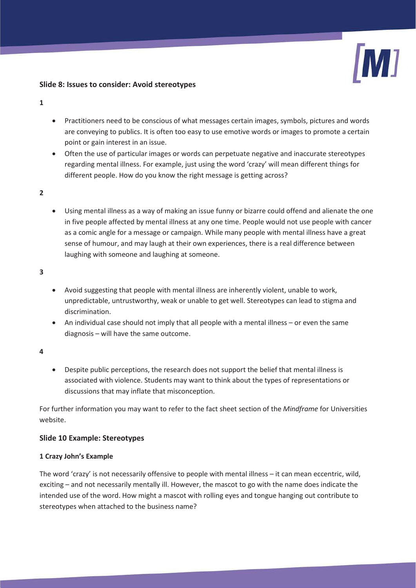#### **Slide 8: Issues to consider: Avoid stereotypes**

- **1**
- Practitioners need to be conscious of what messages certain images, symbols, pictures and words are conveying to publics. It is often too easy to use emotive words or images to promote a certain point or gain interest in an issue.
- Often the use of particular images or words can perpetuate negative and inaccurate stereotypes regarding mental illness. For example, just using the word 'crazy' will mean different things for different people. How do you know the right message is getting across?
- **2**
- Using mental illness as a way of making an issue funny or bizarre could offend and alienate the one in five people affected by mental illness at any one time. People would not use people with cancer as a comic angle for a message or campaign. While many people with mental illness have a great sense of humour, and may laugh at their own experiences, there is a real difference between laughing with someone and laughing at someone.
- **3**
- Avoid suggesting that people with mental illness are inherently violent, unable to work, unpredictable, untrustworthy, weak or unable to get well. Stereotypes can lead to stigma and discrimination.
- An individual case should not imply that all people with a mental illness or even the same diagnosis – will have the same outcome.
- **4**
- Despite public perceptions, the research does not support the belief that mental illness is associated with violence. Students may want to think about the types of representations or discussions that may inflate that misconception.

For further information you may want to refer to the fact sheet section of the *Mindframe* for Universities website.

# **Slide 10 Example: Stereotypes**

# **1 Crazy John's Example**

The word 'crazy' is not necessarily offensive to people with mental illness  $-$  it can mean eccentric, wild, exciting – and not necessarily mentally ill. However, the mascot to go with the name does indicate the intended use of the word. How might a mascot with rolling eyes and tongue hanging out contribute to stereotypes when attached to the business name?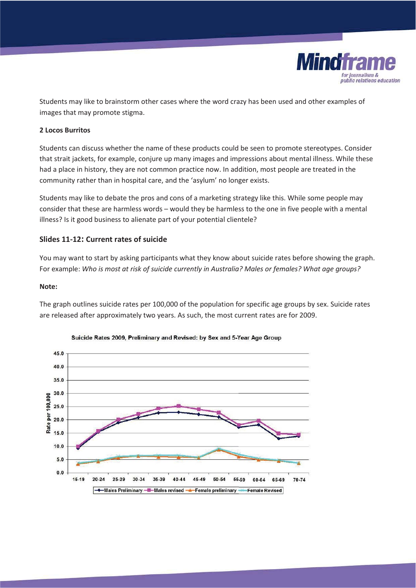

Students may like to brainstorm other cases where the word crazy has been used and other examples of images that may promote stigma.

#### **2 Locos Burritos**

Students can discuss whether the name of these products could be seen to promote stereotypes. Consider that strait jackets, for example, conjure up many images and impressions about mental illness. While these had a place in history, they are not common practice now. In addition, most people are treated in the community rather than in hospital care, and the 'asylum' no longer exists.

Students may like to debate the pros and cons of a marketing strategy like this. While some people may consider that these are harmless words – would they be harmless to the one in five people with a mental illness? Is it good business to alienate part of your potential clientele?

#### **Slides 11-12: Current rates of suicide**

You may want to start by asking participants what they know about suicide rates before showing the graph. For example: *Who is most at risk of suicide currently in Australia? Males or females? What age groups?*

#### **Note:**

The graph outlines suicide rates per 100,000 of the population for specific age groups by sex. Suicide rates are released after approximately two years. As such, the most current rates are for 2009.



#### Suicide Rates 2009, Preliminary and Revised: by Sex and 5-Year Age Group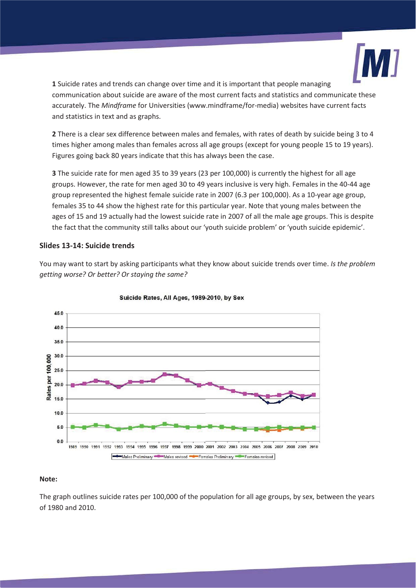

**1** Suicide rates and trends can change over time and it is important that people managing communication about suicide are aware of the most current facts and statistics and communicate these accurately. The *Mindframe* for Universities (www.mindframe/for-media) websites have current facts and statistics in text and as graphs.

**2** There is a clear sex difference between males and females, with rates of death by suicide being 3 to 4 times higher among males than females across all age groups (except for young people 15 to 19 years). Figures going back 80 years indicate that this has always been the case.

**3** The suicide rate for men aged 35 to 39 years (23 per 100,000) is currently the highest for all age groups. However, the rate for men aged 30 to 49 years inclusive is very high. Females in the 40-44 age group represented the highest female suicide rate in 2007 (6.3 per 100,000). As a 10-year age group, females 35 to 44 show the highest rate for this particular year. Note that young males between the ages of 15 and 19 actually had the lowest suicide rate in 2007 of all the male age groups. This is despite the fact that the community still talks about our 'youth suicide problem' or 'youth suicide epidemic'.

# **Slides 13-14: Suicide trends**

You may want to start by asking participants what they know about suicide trends over time. *Is the problem getting worse? Or better? Or staying the same?*



#### Suicide Rates, All Ages, 1989-2010, by Sex

#### **Note:**

The graph outlines suicide rates per 100,000 of the population for all age groups, by sex, between the years of 1980 and 2010.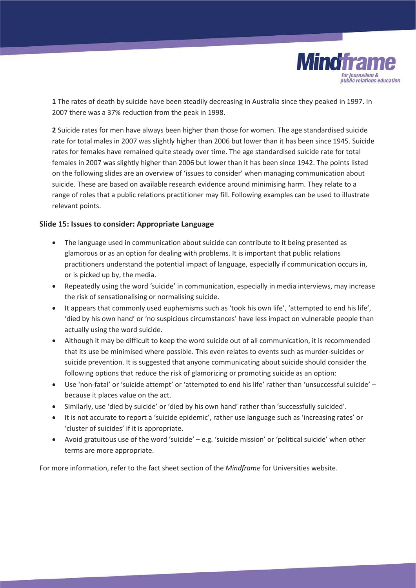

**1** The rates of death by suicide have been steadily decreasing in Australia since they peaked in 1997. In 2007 there was a 37% reduction from the peak in 1998.

**2** Suicide rates for men have always been higher than those for women. The age standardised suicide rate for total males in 2007 was slightly higher than 2006 but lower than it has been since 1945. Suicide rates for females have remained quite steady over time. The age standardised suicide rate for total females in 2007 was slightly higher than 2006 but lower than it has been since 1942. The points listed on the following slides are an overview of 'issues to consider' when managing communication about suicide. These are based on available research evidence around minimising harm. They relate to a range of roles that a public relations practitioner may fill. Following examples can be used to illustrate relevant points.

#### **Slide 15: Issues to consider: Appropriate Language**

- The language used in communication about suicide can contribute to it being presented as glamorous or as an option for dealing with problems. It is important that public relations practitioners understand the potential impact of language, especially if communication occurs in, or is picked up by, the media.
- Repeatedly using the word 'suicide' in communication, especially in media interviews, may increase the risk of sensationalising or normalising suicide.
- It appears that commonly used euphemisms such as 'took his own life', 'attempted to end his life', 'died by his own hand' or 'no suspicious circumstances' have less impact on vulnerable people than actually using the word suicide.
- Although it may be difficult to keep the word suicide out of all communication, it is recommended that its use be minimised where possible. This even relates to events such as murder-suicides or suicide prevention. It is suggested that anyone communicating about suicide should consider the following options that reduce the risk of glamorizing or promoting suicide as an option:
- Use 'non-fatal' or 'suicide attempt' or 'attempted to end his life' rather than 'unsuccessful suicide' because it places value on the act.
- x Similarly, use 'died by suicide' or 'died by his own hand' rather than 'successfully suicided'.
- It is not accurate to report a 'suicide epidemic', rather use language such as 'increasing rates' or 'cluster of suicides' if it is appropriate.
- x Avoid gratuitous use of the word 'suicide' e.g. 'suicide mission' or 'political suicide' when other terms are more appropriate.

For more information, refer to the fact sheet section of the *Mindframe* for Universities website.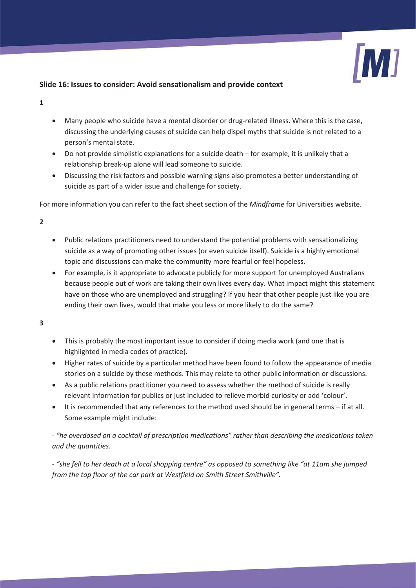

# **Slide 16: Issues to consider: Avoid sensationalism and provide context**

- **1**
- Many people who suicide have a mental disorder or drug-related illness. Where this is the case, discussing the underlying causes of suicide can help dispel myths that suicide is not related to a person's mental state.
- Do not provide simplistic explanations for a suicide death for example, it is unlikely that a relationship break-up alone will lead someone to suicide.
- Discussing the risk factors and possible warning signs also promotes a better understanding of suicide as part of a wider issue and challenge for society.

For more information you can refer to the fact sheet section of the *Mindframe* for Universities website.

**2** 

- Public relations practitioners need to understand the potential problems with sensationalizing suicide as a way of promoting other issues (or even suicide itself). Suicide is a highly emotional topic and discussions can make the community more fearful or feel hopeless.
- For example, is it appropriate to advocate publicly for more support for unemployed Australians because people out of work are taking their own lives every day. What impact might this statement have on those who are unemployed and struggling? If you hear that other people just like you are ending their own lives, would that make you less or more likely to do the same?

**3** 

- This is probably the most important issue to consider if doing media work (and one that is highlighted in media codes of practice).
- Higher rates of suicide by a particular method have been found to follow the appearance of media stories on a suicide by these methods. This may relate to other public information or discussions.
- As a public relations practitioner you need to assess whether the method of suicide is really relevant information for publics or just included to relieve morbid curiosity or add 'colour'.
- It is recommended that any references to the method used should be in general terms if at all. Some example might include:

- *"he overdosed on a cocktail of prescription medications" rather than describing the medications taken and the quantities.* 

- *"she fell to her death at a local shopping centre" as opposed to something like "at 11am she jumped from the top floor of the car park at Westfield on Smith Street Smithville".*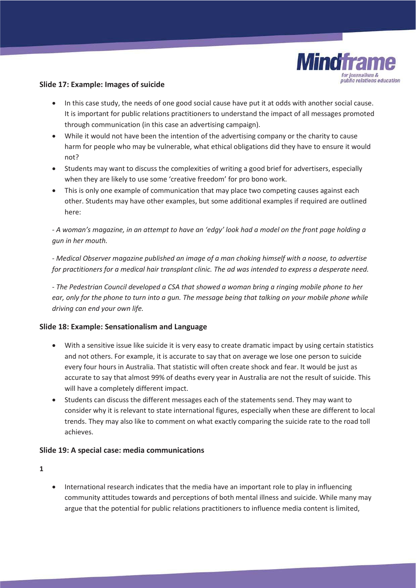

#### **Slide 17: Example: Images of suicide**

- In this case study, the needs of one good social cause have put it at odds with another social cause. It is important for public relations practitioners to understand the impact of all messages promoted through communication (in this case an advertising campaign).
- While it would not have been the intention of the advertising company or the charity to cause harm for people who may be vulnerable, what ethical obligations did they have to ensure it would not?
- Students may want to discuss the complexities of writing a good brief for advertisers, especially when they are likely to use some 'creative freedom' for pro bono work.
- This is only one example of communication that may place two competing causes against each other. Students may have other examples, but some additional examples if required are outlined here:

*- A woman's magazine, in an attempt to have an 'edgy' look had a model on the front page holding a gun in her mouth.* 

*- Medical Observer magazine published an image of a man choking himself with a noose, to advertise for practitioners for a medical hair transplant clinic. The ad was intended to express a desperate need.* 

*- The Pedestrian Council developed a CSA that showed a woman bring a ringing mobile phone to her*  ear, only for the phone to turn into a gun. The message being that talking on your mobile phone while *driving can end your own life.* 

#### **Slide 18: Example: Sensationalism and Language**

- With a sensitive issue like suicide it is very easy to create dramatic impact by using certain statistics and not others. For example, it is accurate to say that on average we lose one person to suicide every four hours in Australia. That statistic will often create shock and fear. It would be just as accurate to say that almost 99% of deaths every year in Australia are not the result of suicide. This will have a completely different impact.
- Students can discuss the different messages each of the statements send. They may want to consider why it is relevant to state international figures, especially when these are different to local trends. They may also like to comment on what exactly comparing the suicide rate to the road toll achieves.

# **Slide 19: A special case: media communications**

**1** 

• International research indicates that the media have an important role to play in influencing community attitudes towards and perceptions of both mental illness and suicide. While many may argue that the potential for public relations practitioners to influence media content is limited,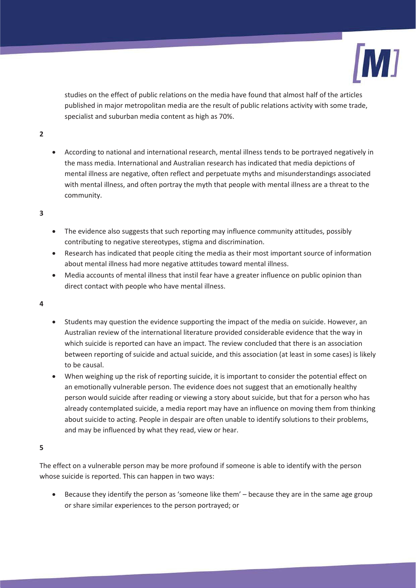

studies on the effect of public relations on the media have found that almost half of the articles published in major metropolitan media are the result of public relations activity with some trade, specialist and suburban media content as high as 70%.

- **2**
- According to national and international research, mental illness tends to be portrayed negatively in the mass media. International and Australian research has indicated that media depictions of mental illness are negative, often reflect and perpetuate myths and misunderstandings associated with mental illness, and often portray the myth that people with mental illness are a threat to the community.

#### **3**

- The evidence also suggests that such reporting may influence community attitudes, possibly contributing to negative stereotypes, stigma and discrimination.
- Research has indicated that people citing the media as their most important source of information about mental illness had more negative attitudes toward mental illness.
- Media accounts of mental illness that instil fear have a greater influence on public opinion than direct contact with people who have mental illness.

#### **4**

- Students may question the evidence supporting the impact of the media on suicide. However, an Australian review of the international literature provided considerable evidence that the way in which suicide is reported can have an impact. The review concluded that there is an association between reporting of suicide and actual suicide, and this association (at least in some cases) is likely to be causal.
- x When weighing up the risk of reporting suicide, it is important to consider the potential effect on an emotionally vulnerable person. The evidence does not suggest that an emotionally healthy person would suicide after reading or viewing a story about suicide, but that for a person who has already contemplated suicide, a media report may have an influence on moving them from thinking about suicide to acting. People in despair are often unable to identify solutions to their problems, and may be influenced by what they read, view or hear.

#### **5**

The effect on a vulnerable person may be more profound if someone is able to identify with the person whose suicide is reported. This can happen in two ways:

• Because they identify the person as 'someone like them' – because they are in the same age group or share similar experiences to the person portrayed; or